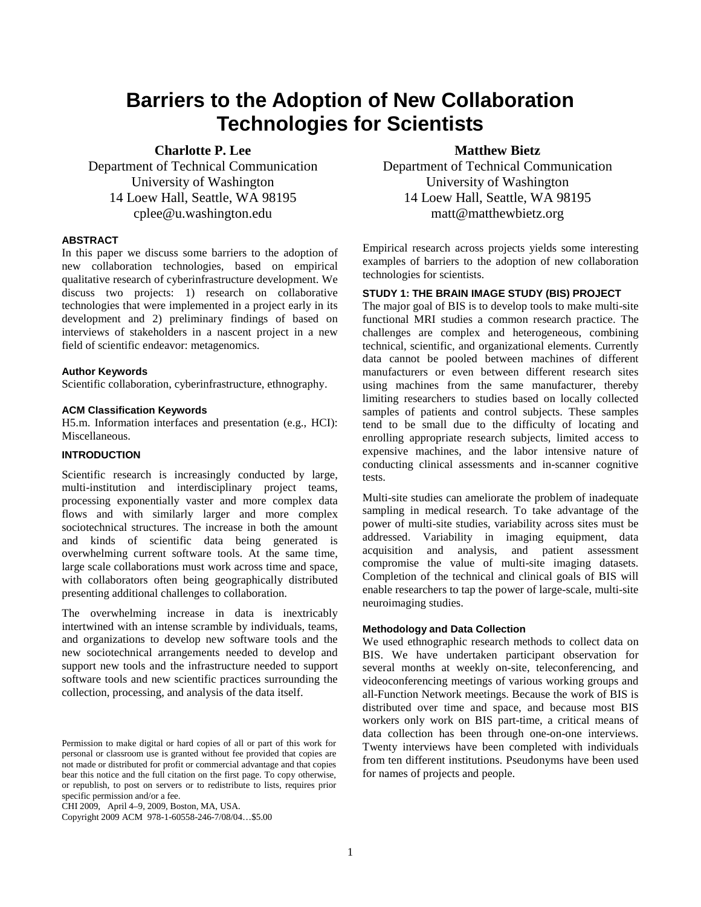# **Barriers to the Adoption of New Collaboration Technologies for Scientists**

**Charlotte P. Lee** 

Department of Technical Communication University of Washington 14 Loew Hall, Seattle, WA 98195 cplee@u.washington.edu

# **ABSTRACT**

In this paper we discuss some barriers to the adoption of new collaboration technologies, based on empirical qualitative research of cyberinfrastructure development. We discuss two projects: 1) research on collaborative technologies that were implemented in a project early in its development and 2) preliminary findings of based on interviews of stakeholders in a nascent project in a new field of scientific endeavor: metagenomics.

#### **Author Keywords**

Scientific collaboration, cyberinfrastructure, ethnography.

#### **ACM Classification Keywords**

H5.m. Information interfaces and presentation (e.g., HCI): Miscellaneous.

# **INTRODUCTION**

Scientific research is increasingly conducted by large, multi-institution and interdisciplinary project teams, processing exponentially vaster and more complex data flows and with similarly larger and more complex sociotechnical structures. The increase in both the amount and kinds of scientific data being generated is overwhelming current software tools. At the same time, large scale collaborations must work across time and space, with collaborators often being geographically distributed presenting additional challenges to collaboration.

The overwhelming increase in data is inextricably intertwined with an intense scramble by individuals, teams, and organizations to develop new software tools and the new sociotechnical arrangements needed to develop and support new tools and the infrastructure needed to support software tools and new scientific practices surrounding the collection, processing, and analysis of the data itself.

CHI 2009, April 4–9, 2009, Boston, MA, USA.

Copyright 2009 ACM 978-1-60558-246-7/08/04…\$5.00

# **Matthew Bietz**

Department of Technical Communication University of Washington 14 Loew Hall, Seattle, WA 98195 matt@matthewbietz.org

Empirical research across projects yields some interesting examples of barriers to the adoption of new collaboration technologies for scientists.

# **STUDY 1: THE BRAIN IMAGE STUDY (BIS) PROJECT**

The major goal of BIS is to develop tools to make multi-site functional MRI studies a common research practice. The challenges are complex and heterogeneous, combining technical, scientific, and organizational elements. Currently data cannot be pooled between machines of different manufacturers or even between different research sites using machines from the same manufacturer, thereby limiting researchers to studies based on locally collected samples of patients and control subjects. These samples tend to be small due to the difficulty of locating and enrolling appropriate research subjects, limited access to expensive machines, and the labor intensive nature of conducting clinical assessments and in-scanner cognitive tests.

Multi-site studies can ameliorate the problem of inadequate sampling in medical research. To take advantage of the power of multi-site studies, variability across sites must be addressed. Variability in imaging equipment, data acquisition and analysis, and patient assessment compromise the value of multi-site imaging datasets. Completion of the technical and clinical goals of BIS will enable researchers to tap the power of large-scale, multi-site neuroimaging studies.

#### **Methodology and Data Collection**

We used ethnographic research methods to collect data on BIS. We have undertaken participant observation for several months at weekly on-site, teleconferencing, and videoconferencing meetings of various working groups and all-Function Network meetings. Because the work of BIS is distributed over time and space, and because most BIS workers only work on BIS part-time, a critical means of data collection has been through one-on-one interviews. Twenty interviews have been completed with individuals from ten different institutions. Pseudonyms have been used for names of projects and people.

Permission to make digital or hard copies of all or part of this work for personal or classroom use is granted without fee provided that copies are not made or distributed for profit or commercial advantage and that copies bear this notice and the full citation on the first page. To copy otherwise, or republish, to post on servers or to redistribute to lists, requires prior specific permission and/or a fee.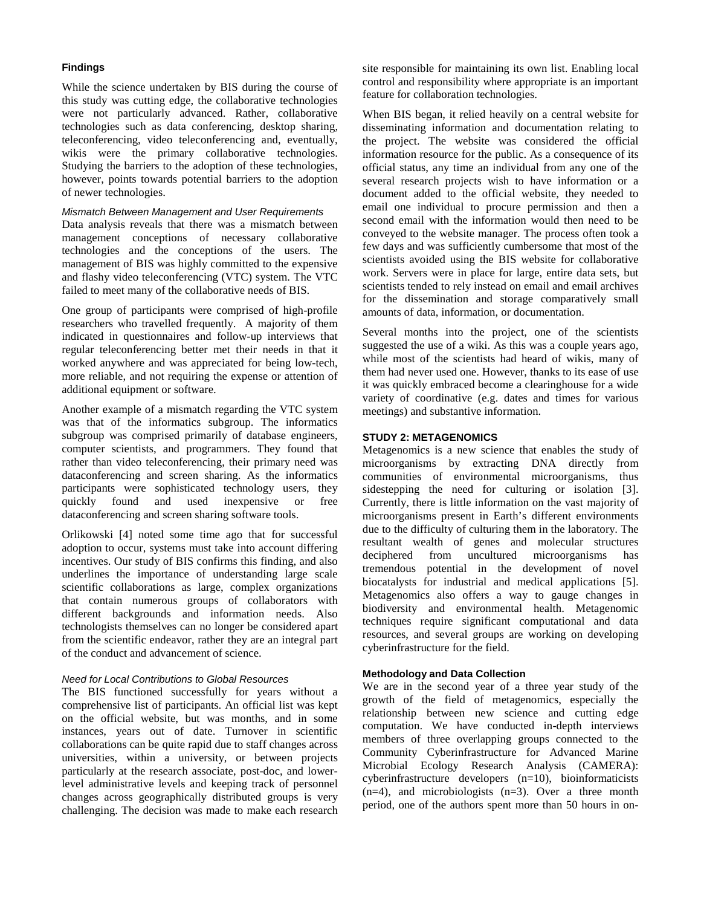# **Findings**

While the science undertaken by BIS during the course of this study was cutting edge, the collaborative technologies were not particularly advanced. Rather, collaborative technologies such as data conferencing, desktop sharing, teleconferencing, video teleconferencing and, eventually, wikis were the primary collaborative technologies. Studying the barriers to the adoption of these technologies, however, points towards potential barriers to the adoption of newer technologies.

Mismatch Between Management and User Requirements

Data analysis reveals that there was a mismatch between management conceptions of necessary collaborative technologies and the conceptions of the users. The management of BIS was highly committed to the expensive and flashy video teleconferencing (VTC) system. The VTC failed to meet many of the collaborative needs of BIS.

One group of participants were comprised of high-profile researchers who travelled frequently. A majority of them indicated in questionnaires and follow-up interviews that regular teleconferencing better met their needs in that it worked anywhere and was appreciated for being low-tech, more reliable, and not requiring the expense or attention of additional equipment or software.

Another example of a mismatch regarding the VTC system was that of the informatics subgroup. The informatics subgroup was comprised primarily of database engineers, computer scientists, and programmers. They found that rather than video teleconferencing, their primary need was dataconferencing and screen sharing. As the informatics participants were sophisticated technology users, they quickly found and used inexpensive or free dataconferencing and screen sharing software tools.

Orlikowski [4] noted some time ago that for successful adoption to occur, systems must take into account differing incentives. Our study of BIS confirms this finding, and also underlines the importance of understanding large scale scientific collaborations as large, complex organizations that contain numerous groups of collaborators with different backgrounds and information needs. Also technologists themselves can no longer be considered apart from the scientific endeavor, rather they are an integral part of the conduct and advancement of science.

#### Need for Local Contributions to Global Resources

The BIS functioned successfully for years without a comprehensive list of participants. An official list was kept on the official website, but was months, and in some instances, years out of date. Turnover in scientific collaborations can be quite rapid due to staff changes across universities, within a university, or between projects particularly at the research associate, post-doc, and lowerlevel administrative levels and keeping track of personnel changes across geographically distributed groups is very challenging. The decision was made to make each research site responsible for maintaining its own list. Enabling local control and responsibility where appropriate is an important feature for collaboration technologies.

When BIS began, it relied heavily on a central website for disseminating information and documentation relating to the project. The website was considered the official information resource for the public. As a consequence of its official status, any time an individual from any one of the several research projects wish to have information or a document added to the official website, they needed to email one individual to procure permission and then a second email with the information would then need to be conveyed to the website manager. The process often took a few days and was sufficiently cumbersome that most of the scientists avoided using the BIS website for collaborative work. Servers were in place for large, entire data sets, but scientists tended to rely instead on email and email archives for the dissemination and storage comparatively small amounts of data, information, or documentation.

Several months into the project, one of the scientists suggested the use of a wiki. As this was a couple years ago, while most of the scientists had heard of wikis, many of them had never used one. However, thanks to its ease of use it was quickly embraced become a clearinghouse for a wide variety of coordinative (e.g. dates and times for various meetings) and substantive information.

# **STUDY 2: METAGENOMICS**

Metagenomics is a new science that enables the study of microorganisms by extracting DNA directly from communities of environmental microorganisms, thus sidestepping the need for culturing or isolation [3]. Currently, there is little information on the vast majority of microorganisms present in Earth's different environments due to the difficulty of culturing them in the laboratory. The resultant wealth of genes and molecular structures deciphered from uncultured microorganisms has tremendous potential in the development of novel biocatalysts for industrial and medical applications [5]. Metagenomics also offers a way to gauge changes in biodiversity and environmental health. Metagenomic techniques require significant computational and data resources, and several groups are working on developing cyberinfrastructure for the field.

## **Methodology and Data Collection**

We are in the second year of a three year study of the growth of the field of metagenomics, especially the relationship between new science and cutting edge computation. We have conducted in-depth interviews members of three overlapping groups connected to the Community Cyberinfrastructure for Advanced Marine Microbial Ecology Research Analysis (CAMERA): cyberinfrastructure developers (n=10), bioinformaticists  $(n=4)$ , and microbiologists  $(n=3)$ . Over a three month period, one of the authors spent more than 50 hours in on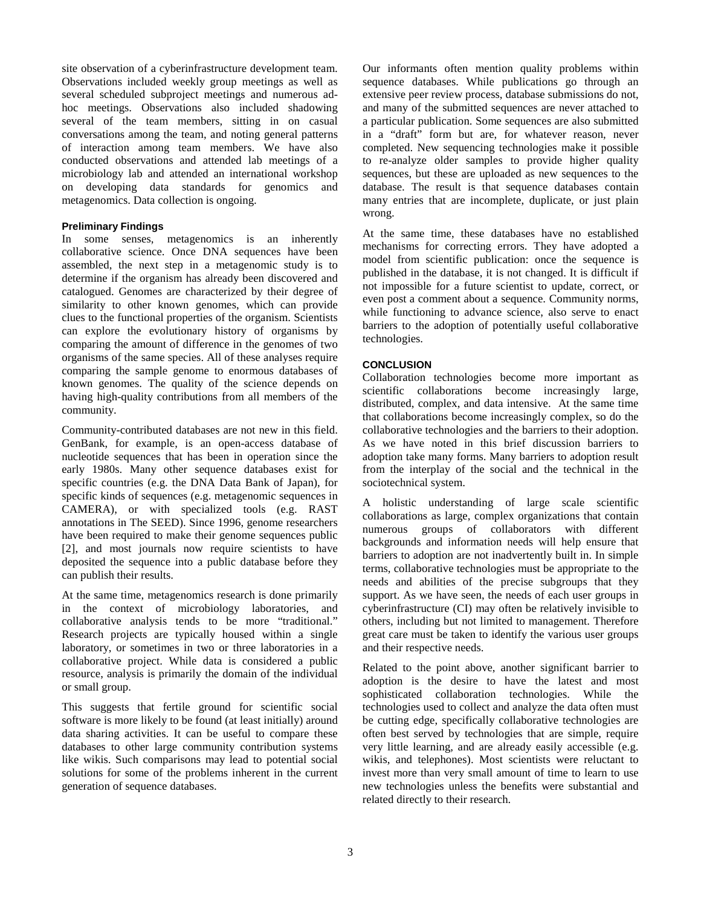site observation of a cyberinfrastructure development team. Observations included weekly group meetings as well as several scheduled subproject meetings and numerous adhoc meetings. Observations also included shadowing several of the team members, sitting in on casual conversations among the team, and noting general patterns of interaction among team members. We have also conducted observations and attended lab meetings of a microbiology lab and attended an international workshop on developing data standards for genomics and metagenomics. Data collection is ongoing.

#### **Preliminary Findings**

In some senses, metagenomics is an inherently collaborative science. Once DNA sequences have been assembled, the next step in a metagenomic study is to determine if the organism has already been discovered and catalogued. Genomes are characterized by their degree of similarity to other known genomes, which can provide clues to the functional properties of the organism. Scientists can explore the evolutionary history of organisms by comparing the amount of difference in the genomes of two organisms of the same species. All of these analyses require comparing the sample genome to enormous databases of known genomes. The quality of the science depends on having high-quality contributions from all members of the community.

Community-contributed databases are not new in this field. GenBank, for example, is an open-access database of nucleotide sequences that has been in operation since the early 1980s. Many other sequence databases exist for specific countries (e.g. the DNA Data Bank of Japan), for specific kinds of sequences (e.g. metagenomic sequences in CAMERA), or with specialized tools (e.g. RAST annotations in The SEED). Since 1996, genome researchers have been required to make their genome sequences public [2], and most journals now require scientists to have deposited the sequence into a public database before they can publish their results.

At the same time, metagenomics research is done primarily in the context of microbiology laboratories, and collaborative analysis tends to be more "traditional." Research projects are typically housed within a single laboratory, or sometimes in two or three laboratories in a collaborative project. While data is considered a public resource, analysis is primarily the domain of the individual or small group.

This suggests that fertile ground for scientific social software is more likely to be found (at least initially) around data sharing activities. It can be useful to compare these databases to other large community contribution systems like wikis. Such comparisons may lead to potential social solutions for some of the problems inherent in the current generation of sequence databases.

Our informants often mention quality problems within sequence databases. While publications go through an extensive peer review process, database submissions do not, and many of the submitted sequences are never attached to a particular publication. Some sequences are also submitted in a "draft" form but are, for whatever reason, never completed. New sequencing technologies make it possible to re-analyze older samples to provide higher quality sequences, but these are uploaded as new sequences to the database. The result is that sequence databases contain many entries that are incomplete, duplicate, or just plain wrong.

At the same time, these databases have no established mechanisms for correcting errors. They have adopted a model from scientific publication: once the sequence is published in the database, it is not changed. It is difficult if not impossible for a future scientist to update, correct, or even post a comment about a sequence. Community norms, while functioning to advance science, also serve to enact barriers to the adoption of potentially useful collaborative technologies.

## **CONCLUSION**

Collaboration technologies become more important as scientific collaborations become increasingly large, distributed, complex, and data intensive. At the same time that collaborations become increasingly complex, so do the collaborative technologies and the barriers to their adoption. As we have noted in this brief discussion barriers to adoption take many forms. Many barriers to adoption result from the interplay of the social and the technical in the sociotechnical system.

A holistic understanding of large scale scientific collaborations as large, complex organizations that contain numerous groups of collaborators with different backgrounds and information needs will help ensure that barriers to adoption are not inadvertently built in. In simple terms, collaborative technologies must be appropriate to the needs and abilities of the precise subgroups that they support. As we have seen, the needs of each user groups in cyberinfrastructure (CI) may often be relatively invisible to others, including but not limited to management. Therefore great care must be taken to identify the various user groups and their respective needs.

Related to the point above, another significant barrier to adoption is the desire to have the latest and most sophisticated collaboration technologies. While the technologies used to collect and analyze the data often must be cutting edge, specifically collaborative technologies are often best served by technologies that are simple, require very little learning, and are already easily accessible (e.g. wikis, and telephones). Most scientists were reluctant to invest more than very small amount of time to learn to use new technologies unless the benefits were substantial and related directly to their research.